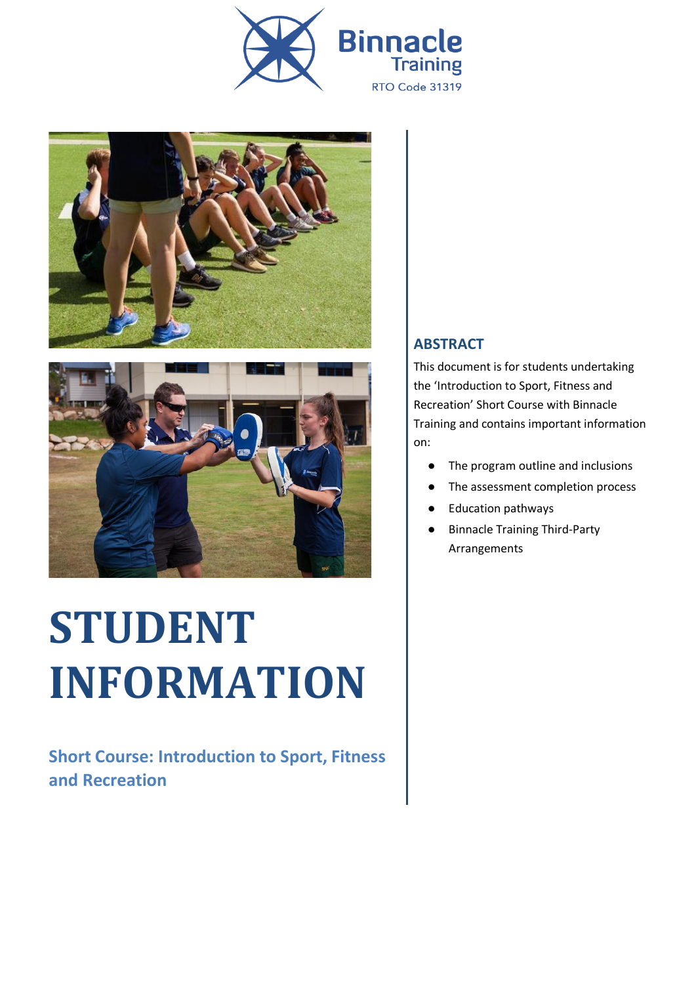





# **STUDENT INFORMATION**

**Short Course: Introduction to Sport, Fitness and Recreation**

#### **ABSTRACT**

This document is for students undertaking the 'Introduction to Sport, Fitness and Recreation' Short Course with Binnacle Training and contains important information on:

- The program outline and inclusions
- The assessment completion process
- **Education pathways**
- **Binnacle Training Third-Party** Arrangements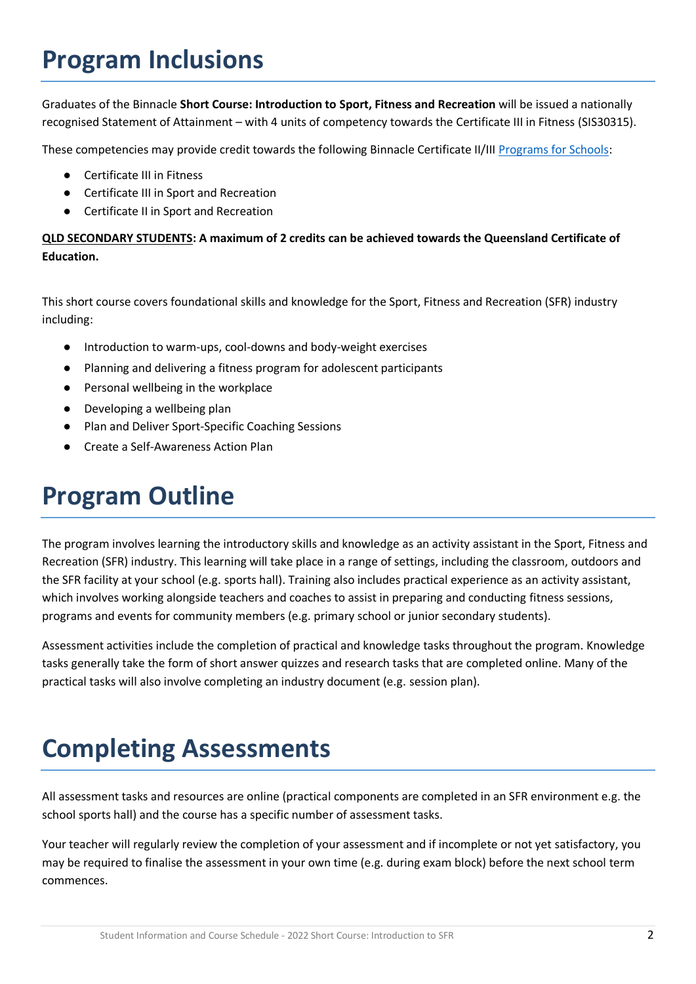# **Program Inclusions**

Graduates of the Binnacle **Short Course: Introduction to Sport, Fitness and Recreation** will be issued a nationally recognised Statement of Attainment – with 4 units of competency towards the Certificate III in Fitness (SIS30315).

These competencies may provide credit towards the following Binnacle Certificate II/III [Programs for Schools:](https://www.binnacletraining.com.au/for-schools/programs/)

- Certificate III in Fitness
- Certificate III in Sport and Recreation
- Certificate II in Sport and Recreation

#### **QLD SECONDARY STUDENTS: A maximum of 2 credits can be achieved towards the Queensland Certificate of Education.**

This short course covers foundational skills and knowledge for the Sport, Fitness and Recreation (SFR) industry including:

- Introduction to warm-ups, cool-downs and body-weight exercises
- Planning and delivering a fitness program for adolescent participants
- Personal wellbeing in the workplace
- Developing a wellbeing plan
- Plan and Deliver Sport-Specific Coaching Sessions
- Create a Self-Awareness Action Plan

## **Program Outline**

The program involves learning the introductory skills and knowledge as an activity assistant in the Sport, Fitness and Recreation (SFR) industry. This learning will take place in a range of settings, including the classroom, outdoors and the SFR facility at your school (e.g. sports hall). Training also includes practical experience as an activity assistant, which involves working alongside teachers and coaches to assist in preparing and conducting fitness sessions, programs and events for community members (e.g. primary school or junior secondary students).

Assessment activities include the completion of practical and knowledge tasks throughout the program. Knowledge tasks generally take the form of short answer quizzes and research tasks that are completed online. Many of the practical tasks will also involve completing an industry document (e.g. session plan).

# **Completing Assessments**

All assessment tasks and resources are online (practical components are completed in an SFR environment e.g. the school sports hall) and the course has a specific number of assessment tasks.

Your teacher will regularly review the completion of your assessment and if incomplete or not yet satisfactory, you may be required to finalise the assessment in your own time (e.g. during exam block) before the next school term commences.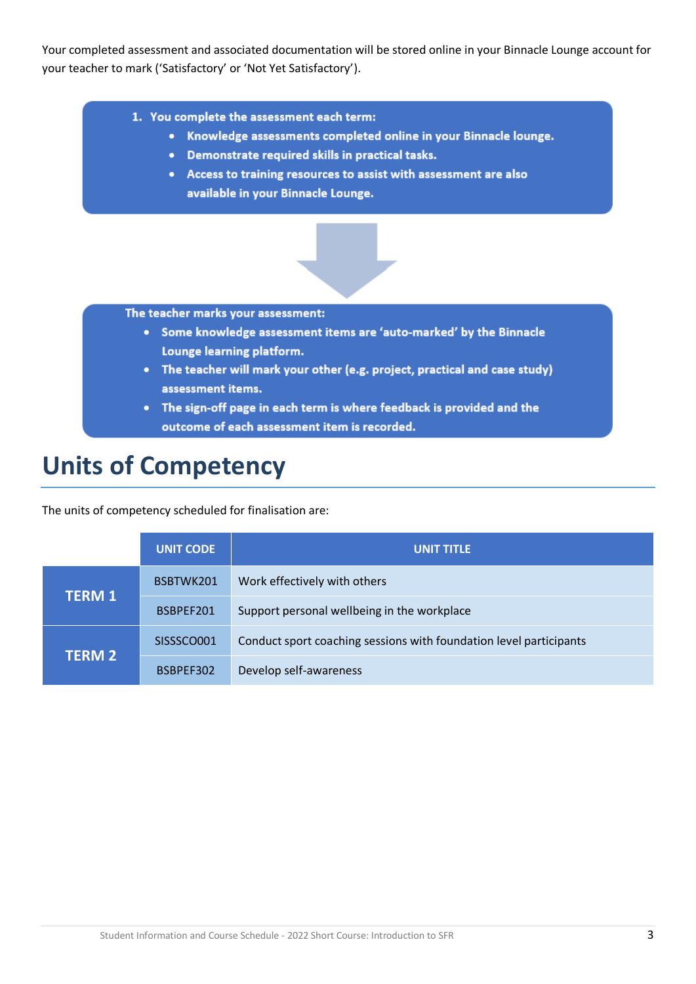Your completed assessment and associated documentation will be stored online in your Binnacle Lounge account for your teacher to mark ('Satisfactory' or 'Not Yet Satisfactory').

- 1. You complete the assessment each term:
	- Knowledge assessments completed online in your Binnacle lounge.
	- Demonstrate required skills in practical tasks.
	- Access to training resources to assist with assessment are also available in your Binnacle Lounge.



The teacher marks your assessment:

- Some knowledge assessment items are 'auto-marked' by the Binnacle Lounge learning platform.
- The teacher will mark your other (e.g. project, practical and case study) assessment items.
- The sign-off page in each term is where feedback is provided and the outcome of each assessment item is recorded.

### **Units of Competency**

The units of competency scheduled for finalisation are:

|               | <b>UNIT CODE</b> | UNIT TITLE                                                         |
|---------------|------------------|--------------------------------------------------------------------|
| <b>TERM 1</b> | BSBTWK201        | Work effectively with others                                       |
|               | BSBPEF201        | Support personal wellbeing in the workplace                        |
| <b>TERM 2</b> | SISSSCO001       | Conduct sport coaching sessions with foundation level participants |
|               | BSBPEF302        | Develop self-awareness                                             |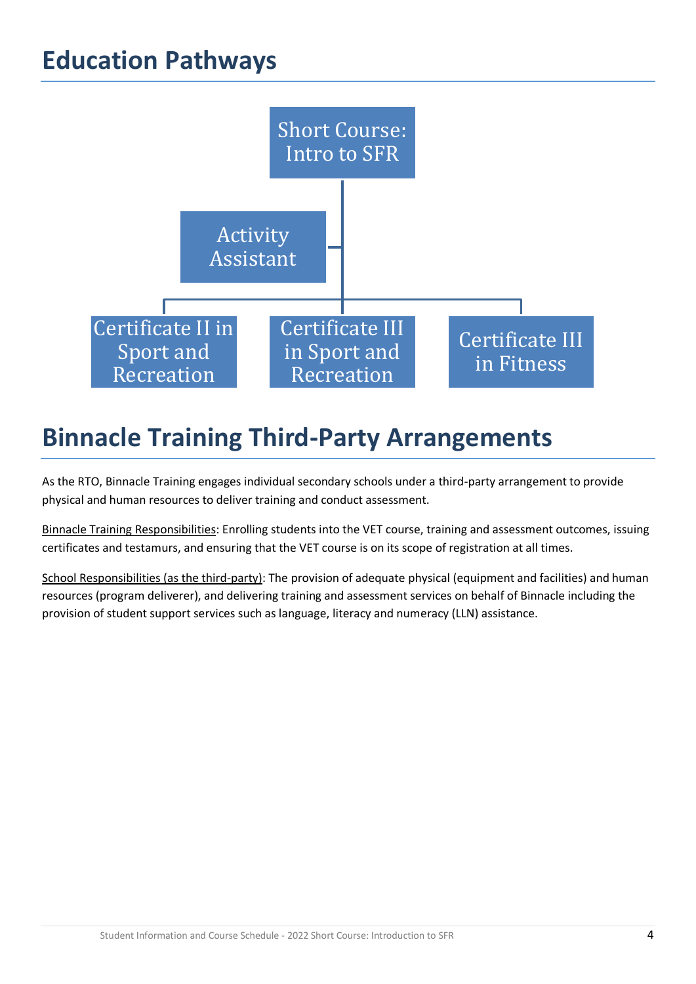## **Education Pathways**



# **Binnacle Training Third-Party Arrangements**

As the RTO, Binnacle Training engages individual secondary schools under a third-party arrangement to provide physical and human resources to deliver training and conduct assessment.

Binnacle Training Responsibilities: Enrolling students into the VET course, training and assessment outcomes, issuing certificates and testamurs, and ensuring that the VET course is on its scope of registration at all times.

School Responsibilities (as the third-party): The provision of adequate physical (equipment and facilities) and human resources (program deliverer), and delivering training and assessment services on behalf of Binnacle including the provision of student support services such as language, literacy and numeracy (LLN) assistance.